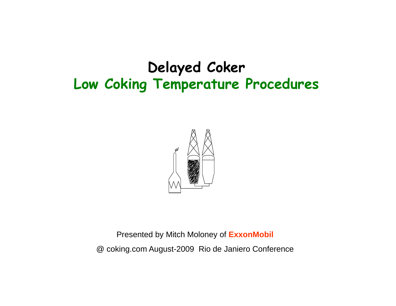

Presented by Mitch Moloney of **ExxonMobil** @ coking.com August-2009 Rio de Janiero Conference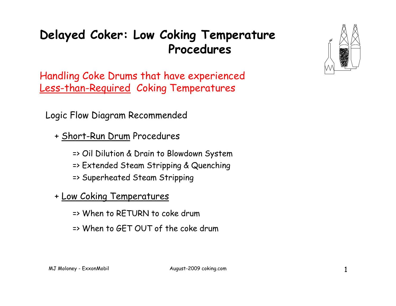Handling Coke Drums that have experienced Less-than-Required Coking Temperatures

Logic Flow Diagram Recommended

- + Short-Run Drum Procedures
	- => Oil Dilution & Drain to Blowdown System
	- => Extended Steam Stripping & Quenching
	- => Superheated Steam Stripping
- + Low Coking Temperatures
	- => When to RETURN to coke drum
	- => When to GET OUT of the coke drum

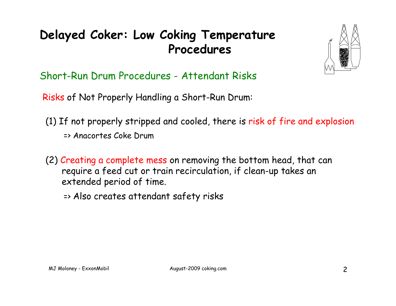

Short-Run Drum Procedures - Attendant Risks

Risks of Not Properly Handling a Short-Run Drum:

- (1) If not properly stripped and cooled, there is risk of fire and explosion => Anacortes Coke Drum
- (2) Creating a complete mess on removing the bottom head, that can require a feed cut or train recirculation, if clean-up takes an<br>extended period of time.

=> Also creates attendant safety risks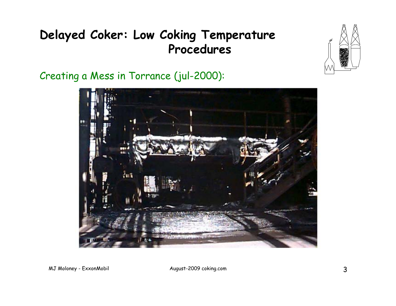

Creating a Mess in Torrance (jul-2000):

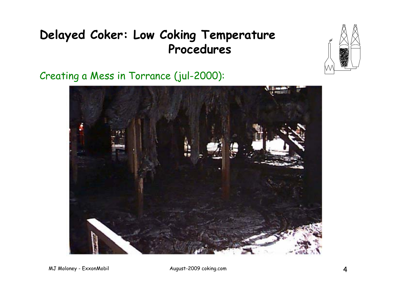

Creating a Mess in Torrance (jul-2000):



MJ Moloney - ExxonMobil and August-2009 coking.com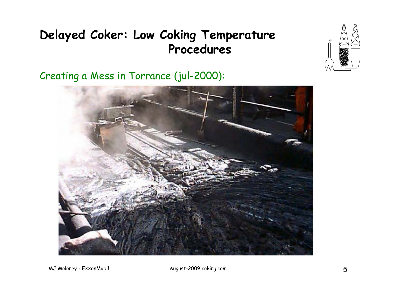

Creating a Mess in Torrance (jul-2000):



MJ Moloney - ExxonMobil and August-2009 coking.com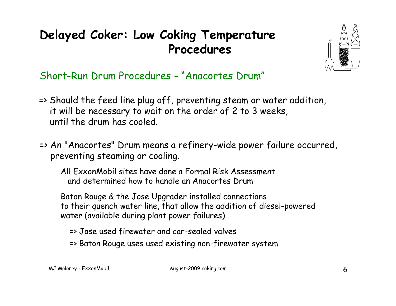

Short-Run Drum Procedures - "Anacortes Drum"

- => Should the feed line plug off, preventing steam or water addition, it will be necessary to wait on the order of 2 to 3 weeks, until the drum has cooled.
- => An "Anacortes" Drum means a refinery-wide power failure occurred, preventing steaming or cooling.

All ExxonMobil sites have done a Formal Risk Assessment and determined how to handle an Anacortes Drum

Baton Rouge & the Jose Upgrader installed connections to their quench water line, that allow the addition of diesel-powered water (available during plant power failures)

- => Jose used firewater and car-sealed valves
- => Baton Rouge uses used existing non-firewater system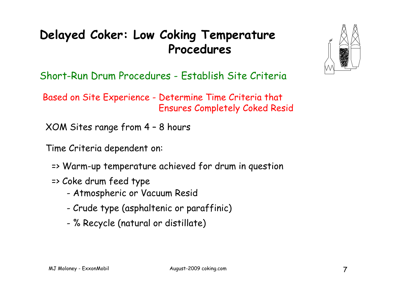Short-Run Drum Procedures - Establish Site Criteria

Based on Site Experience - Determine Time Criteria that - Determine Time Criteria tha Ensures Completely Coked Resid

XOM Sites range from 4 – 8 hours

Time Criteria dependent on:

- => Warm-up temperature achieved for drum in question
- => Coke drum feed type
	- Atmospheric or Vacuum Resid
	- Crude type (asphaltenic or paraffinic)
	- % Recycle (natural or distillate)

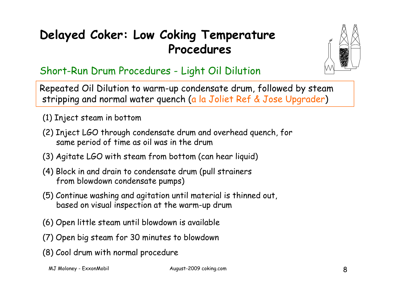

#### Short-Run Drum Procedures - Light Oil Dilution

Repeated Oil Dilution to warm-up condensate drum, followed by steam stripping and normal water quench (a la Joliet Ref & Jose Upgrader )

- (1) Inject steam in bottom
- (2) Inject LGO through condensate drum and overhead quench, for same period of time as oil was in the drum
- (3) Agitate LGO with steam from bottom (can hear liquid)
- (4) Block in and drain to condensate drum (pull strainers from blowdown condensate pumps)
- (5) Continue washing and agitation until material is thinned out, based on visual inspection at the warm-up drum
- (6) Open little steam until blowdown is available
- (7) Open big steam for 30 minutes to blowdown
- (8) Cool drum with normal procedure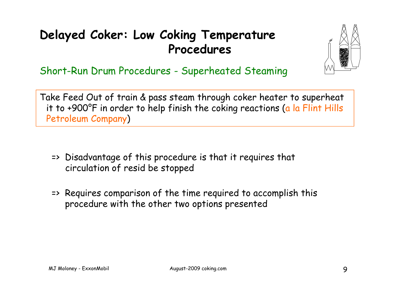

Short-Run Drum Procedures - Superheated Steaming

Take Feed Out of train & pass steam through coker heater to superheat it to +900°F in order to help finish the coking reactions (a la Flint Hills Petroleum Company )

- => Disadvantage of this procedure is that it requires that circulation of resid be stopped
- => Requires comparison of the time required to accomplish this procedure with the other two options presented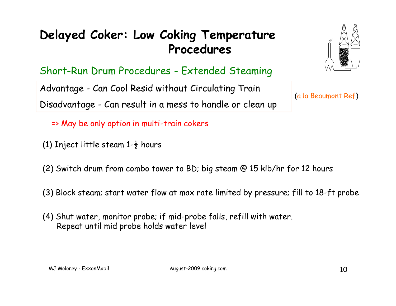Short-Run Drum Procedures - Extended Steaming

Advantage - Can Cool Resid without Circulating Train (a la Beaumont Ref) Disadvantage - Can result in a mess to handle or clean up

=> May be only option in multi-train cokers

- (1) Inject little steam 1- $\frac{1}{2}$  hours
- (2) Switch drum from combo tower to BD; big steam @ 15 klb/hr for 12 hours
- (3) Block steam; start water flow at max rate limited by pressure; fill to 18-ft probe
- (4) Shut water, monitor probe; if mid-probe falls, refill with water. Repeat until mid probe holds water level

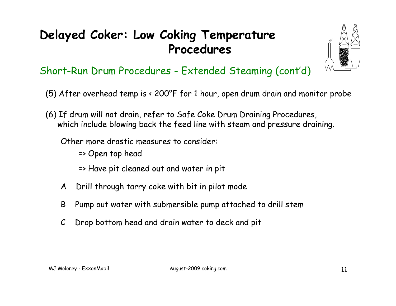

#### Short-Run Drum Procedures - Extended Steaming (cont'd)

- (5) After overhead temp is < 200°F for 1 hour, open drum drain and monitor probe
- (6) If drum will not drain, refer to Safe Coke Drum Draining Procedures, which include blowing back the feed line with steam and pressure draining.

Other more drastic measures to consider:

- => Open top head
- => Have pit cleaned out and water in pit
- A Drill through tarry coke with bit in pilot mode
- B Pump out water with submersible pump attached to drill stem
- C Drop bottom head and drain water to deck and pit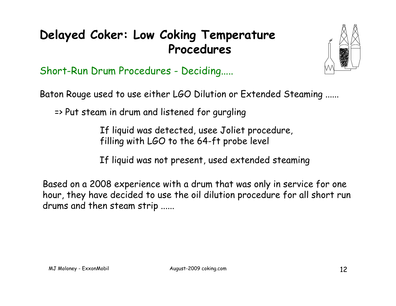

Short-Run Drum Procedures - Deciding.....

Baton Rouge used to use either LGO Dilution or Extended Steaming ......

=> Put steam in drum and listened for gurgling

If liquid was detected, usee Joliet procedure, filling with LGO to the 64-ft probe level

If liquid was not present, used extended steaming

Based on a 2008 experience with a drum that was only in service for one hour, they have decided to use the oil dilution procedure for all short run drums and then steam stri p ......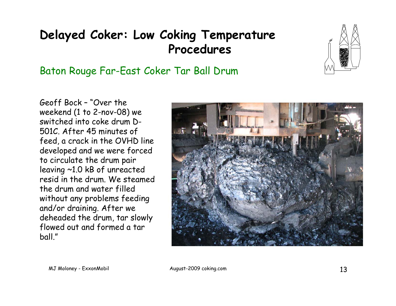#### Baton Rouge Far-East Coker Tar Ball Drum



Geoff Bock – "Over the weekend (1 to 2-nov-08) we switched into coke drum D-501C. After 45 minutes of feed, a crack in the OVHD line developed and we were forced to circulate the drum pair leaving  $~1.0$  kB of unreacted resid in the drum. We steamed the drum and water filled without any problems feeding and/or draining. After we deheaded the drum, tar slowly flowed out and formed a tar ball."

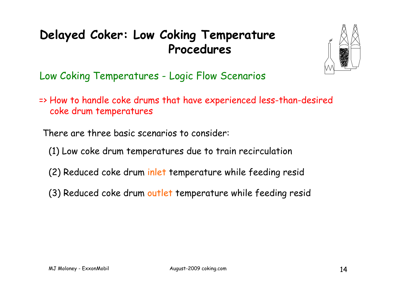

Low Coking Temperatures - Logic Flow Scenarios

=> How to handle coke drums that have experienced less-than-desired coke drum temperatures

There are three basic scenarios to consider:

- (1) Low coke drum temperatures due to train recirculation
- (2) Reduced coke drum inlet temperature while feeding resid
- (3) Reduced coke drum outlet temperature while feeding resid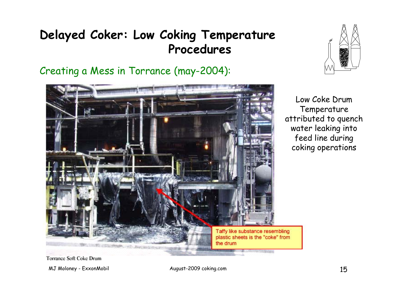Creating a Mess in Torrance (may-2004):





Low Coke Drum Temperature attributed to quench water leaking into feed line during coking operations

**Torrance Soft Coke Drum** 

MJ Moloney - ExxonMobil August-2009 coking.com 15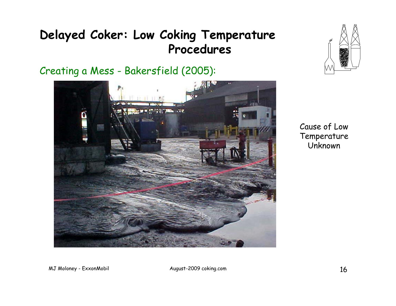Creating a Mess - Bakersfield (2005):





Cause of Low Temperature Unknown

MJ Moloney - ExxonMobil August-2009 coking.com 16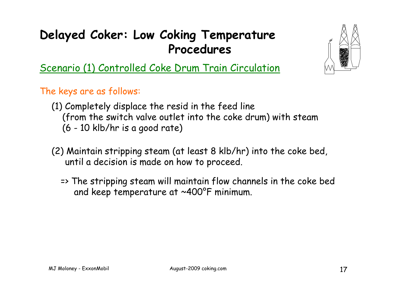

Scenario (1) Controlled Coke Drum Train Circulation

The ke ys are as follows:

- (1) Completely displace the resid in the feed line (from the switch valve outlet into the coke drum) with steam (6 - 10 klb/hr is a good rate)
- (2) Maintain stripping steam (at least 8 klb/hr) into the coke bed, until a decision is made on how to proceed.
	- => The stripping steam will maintain flow channels in the coke bed and keep temperature at ~400°F minimum.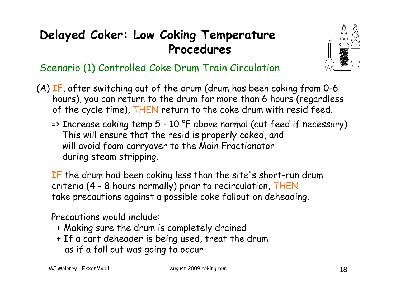

#### Scenario (1) Controlled Coke Drum Train Circulation

(A) IF, after switching out of the drum (drum has been coking from 0-6 hours), you can return to the drum for more than 6 hours (regardless of the cycle time), THEN return to the coke drum with resid feed.

=> Increase coking temp 5 - 10 °F above normal (cut feed if necessary) This will ensure that the resid is properly coked, and will avoid foam carryover to the Main Fractionator during steam stripping.

 $\operatorname{\mathsf{IF}}$  the drum had been coking less than the site's short-run drum criteria (4 - 8 hours normally) prior to recirculation, THEN take precautions against a possible coke fallout on deheading.

Precautions would include:

- + Making sure the drum is completely drained
- + If a cart deheader is being used, treat the drum as if a fall out was going to occur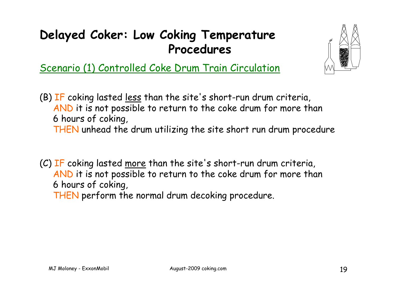

Scenario (1) Controlled Coke Drum Train Circulation

(B) IF coking lasted <u>less</u> than the site's short-run drum criteria, AND it is not possible to return to the coke drum for more than 6 hours of coking, THEN unhead the drum utilizing the site short run drum procedure

(C) IF coking lasted more than the site's short-run drum criteria, AND it is not possible to return to the coke drum for more than 6 hours of coking,

THEN perform the normal drum decoking procedure.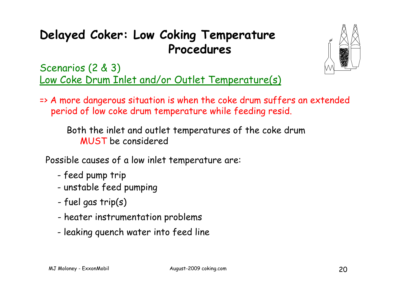

Scenarios (2 & 3) Low Coke Drum Inlet and/or Outlet Temperature(s)

=> A more dangerous situation is when the coke drum suffers an extended period of low coke drum temperature while feeding resid.

Both the inlet and outlet temperatures of the coke drum MUST be considered

Possible causes of a low inlet temperature are:

- -- feed pump trip
- unstable feed pumping
- fuel gas trip(s)
- heater instrumentation problems
- leaking quench water into feed line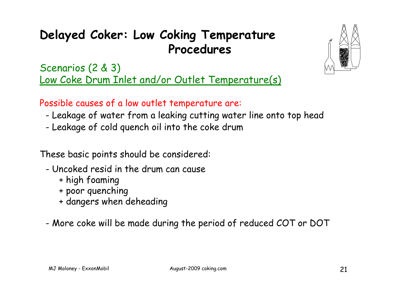

Scenarios (2 & 3) Low Coke Drum Inlet and/or Outlet Temperature(s)

Possible causes of a low outlet temperature are:

- Leakage of water from a leaking cutting water line onto top head
- Leakage of cold quench oil into the coke drum

These basic points should be considered:

- Uncoked resid in the drum can cause
	- + high foaming
	- + poor quenching
	- + dangers when deheading
- More coke will be made during the period of reduced COT or DOT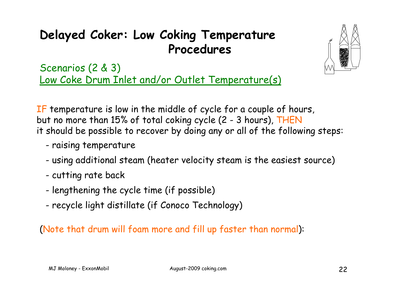

Scenarios (2 & 3) Low Coke Drum Inlet and/or Outlet Temperature(s)

IF temperature is low in the middle of cycle for a couple of hours, but no more than 15% of total coking cycle (2 - 3 hours), THEN it should be possible to recover by doing any or all of the following steps:

- raising temperature
- using additional steam (heater velocity steam is the easiest source)
- cutting rate back
- lengthening the cycle time (if possible)
- rec ycle li ght distillate (if Conoco Technology )

#### (Note that drum will foam more and fill up faster than normal):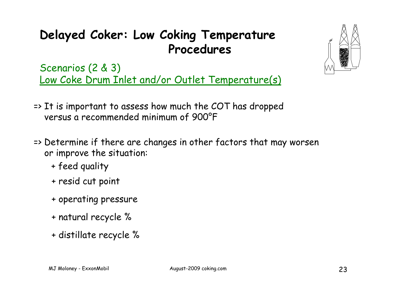Scenarios (2 & 3) Low Coke Drum Inlet and/or Outlet Temperature(s)

- => It is important to assess how much the COT has dropped versus a recommended minimum of 900°F
- => Determine if there are changes in other factors that may worsen or improve the situation:
	- + feed quality
	- + resid cut point
	- + operating pressure
	- + natural recycle %
	- + distillate recycle %

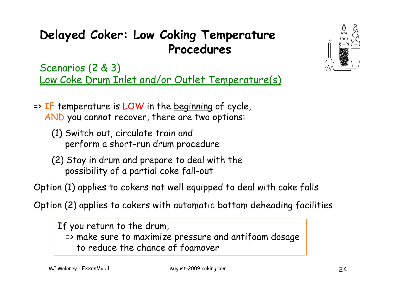Scenarios (2 & 3) Low Coke Drum Inlet and/or Outlet Temperature(s)

- $\Rightarrow$  IF temperature is LOW in the beginning of cycle, AND you cannot recover, there are two options:
	- (1) Switch out, circulate train and perform a short-run drum procedure
	- (2) Stay in drum and prepare to deal with the possibility of a partial coke fall -out

Option (1) applies to cokers not well equipped to deal with coke falls

O ption (2) applies to cokers with automatic bottom deheadin g facilities

If you return to the drum, => make sure to maximize pressure and antifoam dosage to reduce the chance of foamover



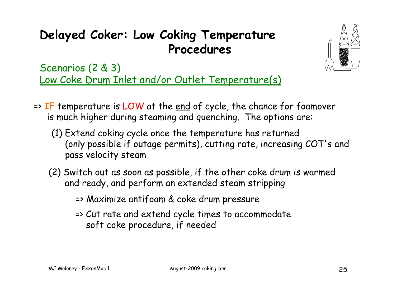

Scenarios (2 & 3) Low Coke Drum Inlet and/or Outlet Temperature(s)

- $\Rightarrow$  IF temperature is LOW at the end of cycle, the chance for foamover is much higher during steaming and quenching. The options are:
	- (1) Extend coking cycle once the temperature has returned (only possible if outage permits), cutting rate, increasing COT's and pass velocity steam
	- (2) Switch out as soon as possible, if the other coke drum is warmed and ready, and perform an extended steam stripping
		- => Maximize antifoam & coke drum pressure
		- => Cut rate and extend cycle times to accommodate soft coke procedure, if needed